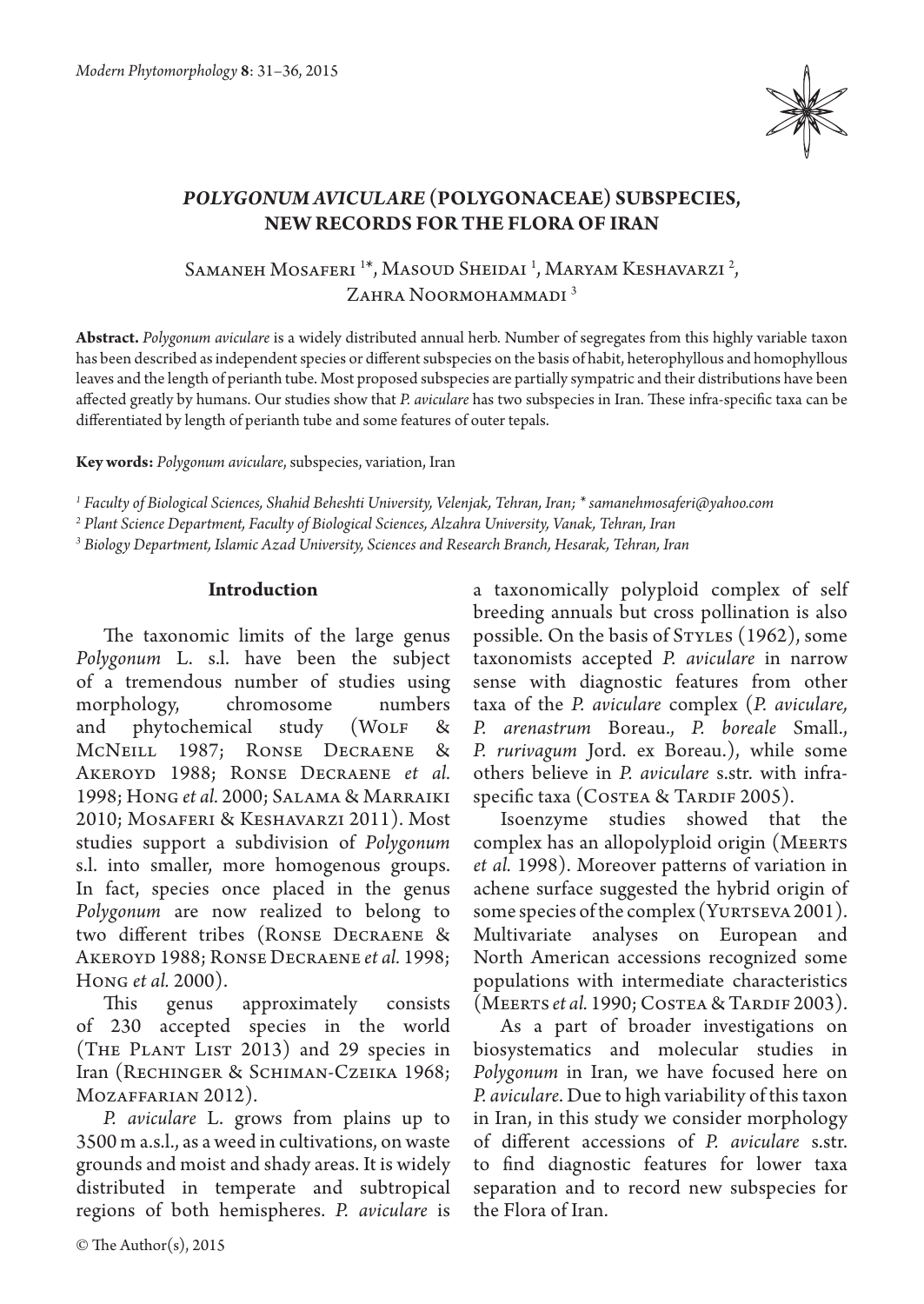

# *Polygonum aviculare* **(Polygonaceae) subspecies, new records for the Flora of Iran**

Samaneh Mosaferi <sup>1\*</sup>, Masoud Sheidai <sup>1</sup>, Maryam Keshavarzi <sup>2</sup>, ZAHRA NOORMOHAMMADI<sup>3</sup>

**Abstract.** *Polygonum aviculare* is a widely distributed annual herb. Number of segregates from this highly variable taxon has been described as independent species or different subspecies on the basis of habit, heterophyllous and homophyllous leaves and the length of perianth tube. Most proposed subspecies are partially sympatric and their distributions have been affected greatly by humans. Our studies show that *P. aviculare* has two subspecies in Iran. These infra-specific taxa can be differentiated by length of perianth tube and some features of outer tepals.

**Key words:** *Polygonum aviculare*, subspecies, variation, Iran

*1 Faculty of Biological Sciences, Shahid Beheshti University, Velenjak, Tehran, Iran; \* samanehmosaferi@yahoo.com*

*2 Plant Science Department, Faculty of Biological Sciences, Alzahra University, Vanak, Tehran, Iran*

*3 Biology Department, Islamic Azad University, Sciences and Research Branch, Hesarak, Tehran, Iran*

### **Introduction**

The taxonomic limits of the large genus *Polygonum* L. s.l. have been the subject of a tremendous number of studies using morphology, chromosome numbers and phytochemical study (WOLF & McNeill 1987; Ronse Decraene & Akeroyd 1988; Ronse Decraene *et al.* 1998; Hong *et al.* 2000; Salama & Marraiki 2010; Mosaferi & Keshavarzi 2011). Most studies support a subdivision of *Polygonum* s.l. into smaller, more homogenous groups. In fact, species once placed in the genus *Polygonum* are now realized to belong to two different tribes (Ronse Decraene & Akeroyd 1988; Ronse Decraene *et al.* 1998; Hong *et al.* 2000).

This genus approximately consists of 230 accepted species in the world (The Plant List 2013) and 29 species in Iran (Rechinger & Schiman-Czeika 1968; MOZAFFARIAN 2012).

*P. aviculare* L. grows from plains up to 3500 m a.s.l., as a weed in cultivations, on waste grounds and moist and shady areas. It is widely distributed in temperate and subtropical regions of both hemispheres. *P. aviculare* is

a taxonomically polyploid complex of self breeding annuals but cross pollination is also possible. On the basis of STYLES (1962), some taxonomists accepted *P. aviculare* in narrow sense with diagnostic features from other taxa of the *P. aviculare* complex (*P. aviculare, P. arenastrum*  Boreau., *P. boreale* Small., *P. rurivagum* Jord. ex Boreau.), while some others believe in *P. aviculare* s.str. with infraspecific taxa (COSTEA & TARDIF 2005).

Isoenzyme studies showed that the complex has an allopolyploid origin (MEERTS *et al.* 1998). Moreover patterns of variation in achene surface suggested the hybrid origin of some species of the complex (YURTSEVA 2001). Multivariate analyses on European and North American accessions recognized some populations with intermediate characteristics (MEERTS *et al.* 1990; COSTEA & TARDIF 2003).

As a part of broader investigations on biosystematics and molecular studies in *Polygonum* in Iran, we have focused here on *P. aviculare*. Due to high variability of this taxon in Iran, in this study we consider morphology of different accessions of *P. aviculare* s.str. to find diagnostic features for lower taxa separation and to record new subspecies for the Flora of Iran.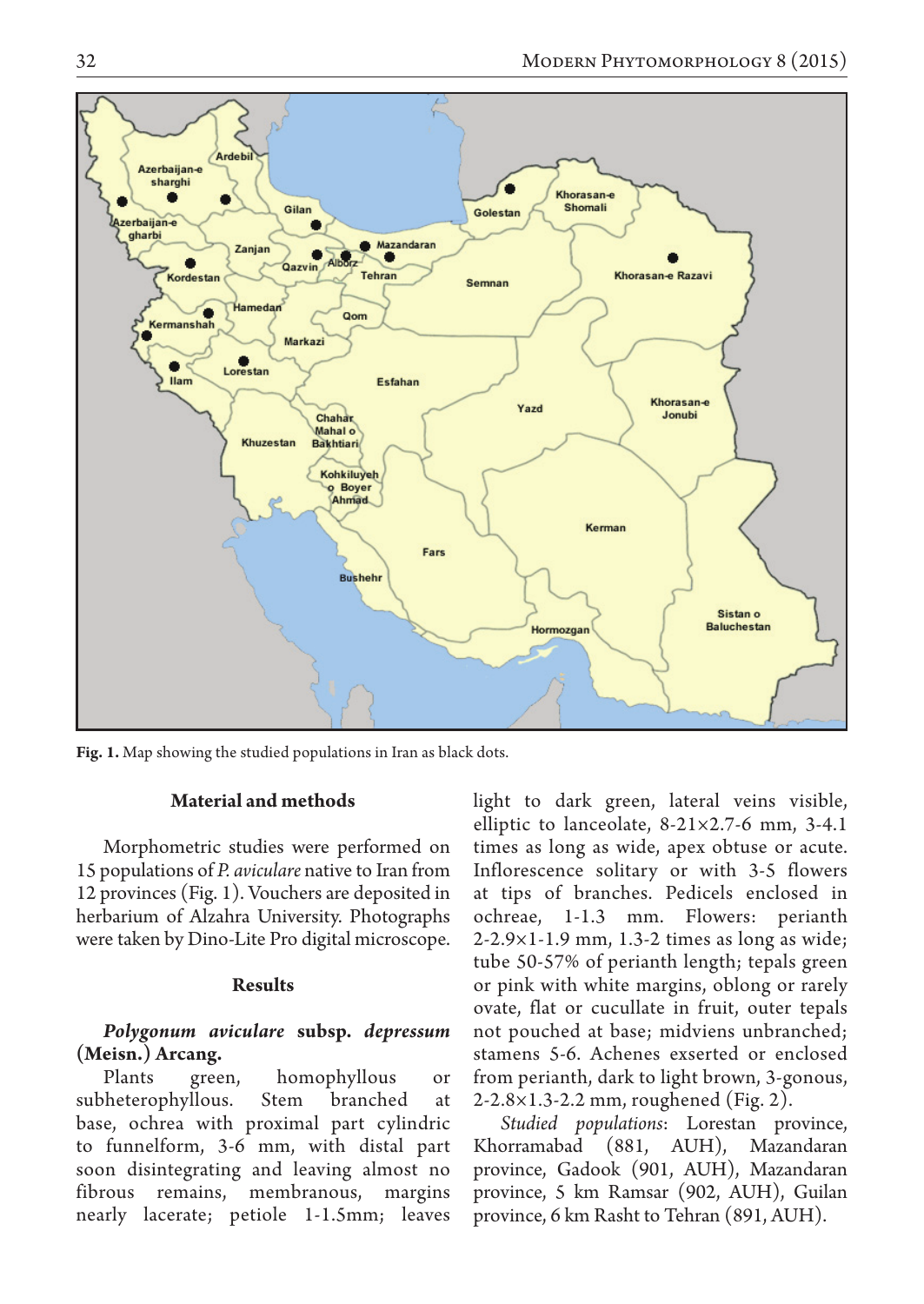

**Fig. 1.** Map showing the studied populations in Iran as black dots.

### **Material and methods**

Morphometric studies were performed on 15 populations of *P. aviculare* native to Iran from 12 provinces (Fig. 1). Vouchers are deposited in herbarium of Alzahra University. Photographs were taken by Dino-Lite Pro digital microscope.

### **Results**

### *Polygonum aviculare* **subsp.** *depressum* **(Meisn.) Arcang.**

Plants green, homophyllous or subheterophyllous. Stem branched at base, ochrea with proximal part cylindric to funnelform, 3-6 mm, with distal part soon disintegrating and leaving almost no fibrous remains, membranous, margins nearly lacerate; petiole 1-1.5mm; leaves light to dark green, lateral veins visible, elliptic to lanceolate, 8-21×2.7-6 mm, 3-4.1 times as long as wide, apex obtuse or acute. Inflorescence solitary or with 3-5 flowers at tips of branches. Pedicels enclosed in ochreae, 1-1.3 mm. Flowers: perianth 2-2.9×1-1.9 mm, 1.3-2 times as long as wide; tube 50-57% of perianth length; tepals green or pink with white margins, oblong or rarely ovate, flat or cucullate in fruit, outer tepals not pouched at base; midviens unbranched; stamens 5-6. Achenes exserted or enclosed from perianth, dark to light brown, 3-gonous, 2-2.8×1.3-2.2 mm, roughened (Fig. 2).

*Studied populations*: Lorestan province, Khorramabad (881, AUH), Mazandaran province, Gadook (901, AUH), Mazandaran province, 5 km Ramsar (902, AUH), Guilan province, 6 km Rasht to Tehran (891, AUH).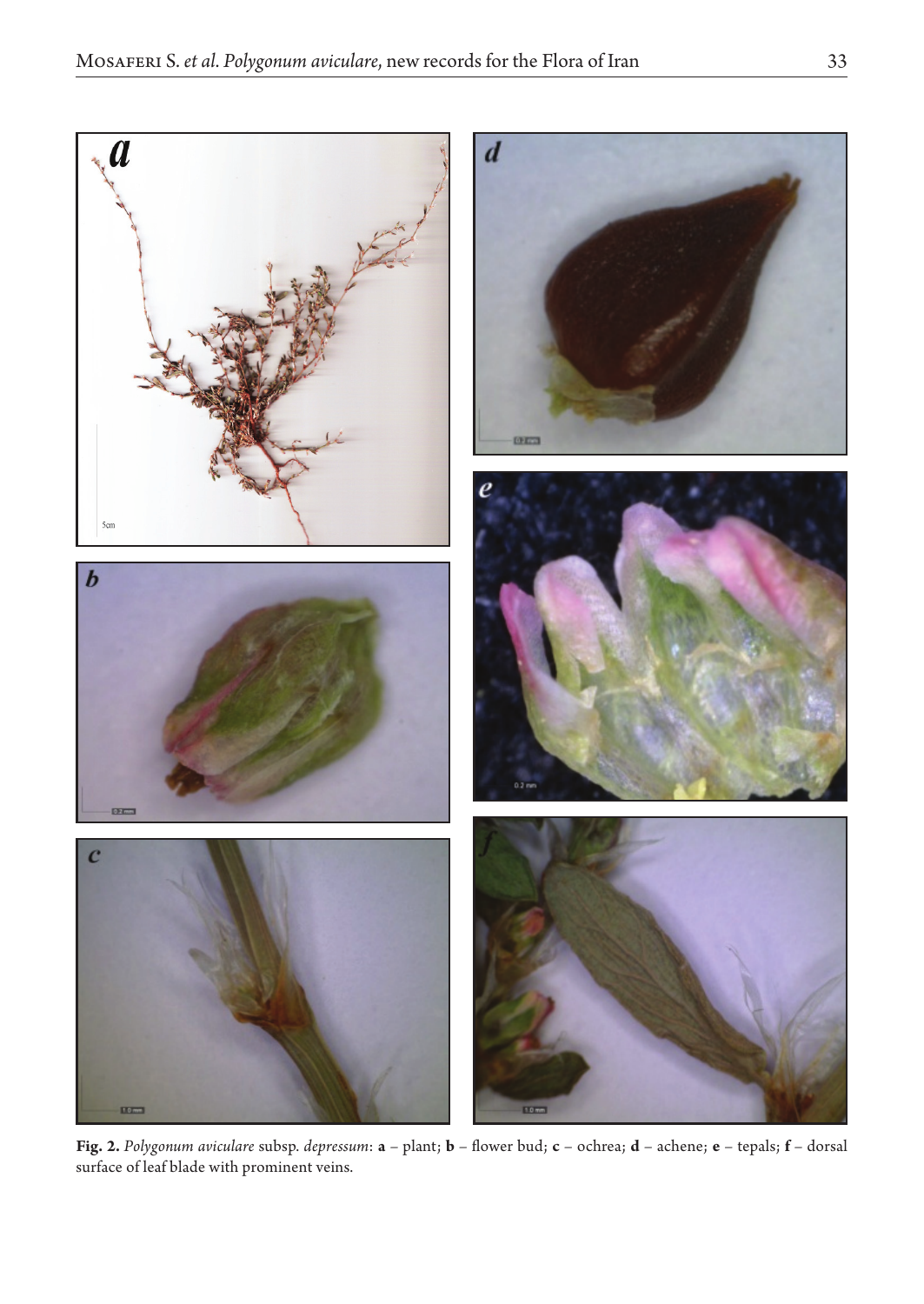

**Fig. 2.** *Polygonum aviculare* subsp. *depressum*: **a** – plant; **b** – flower bud; **c** – ochrea; **d** – achene; **e** – tepals; **f** – dorsal surface of leaf blade with prominent veins.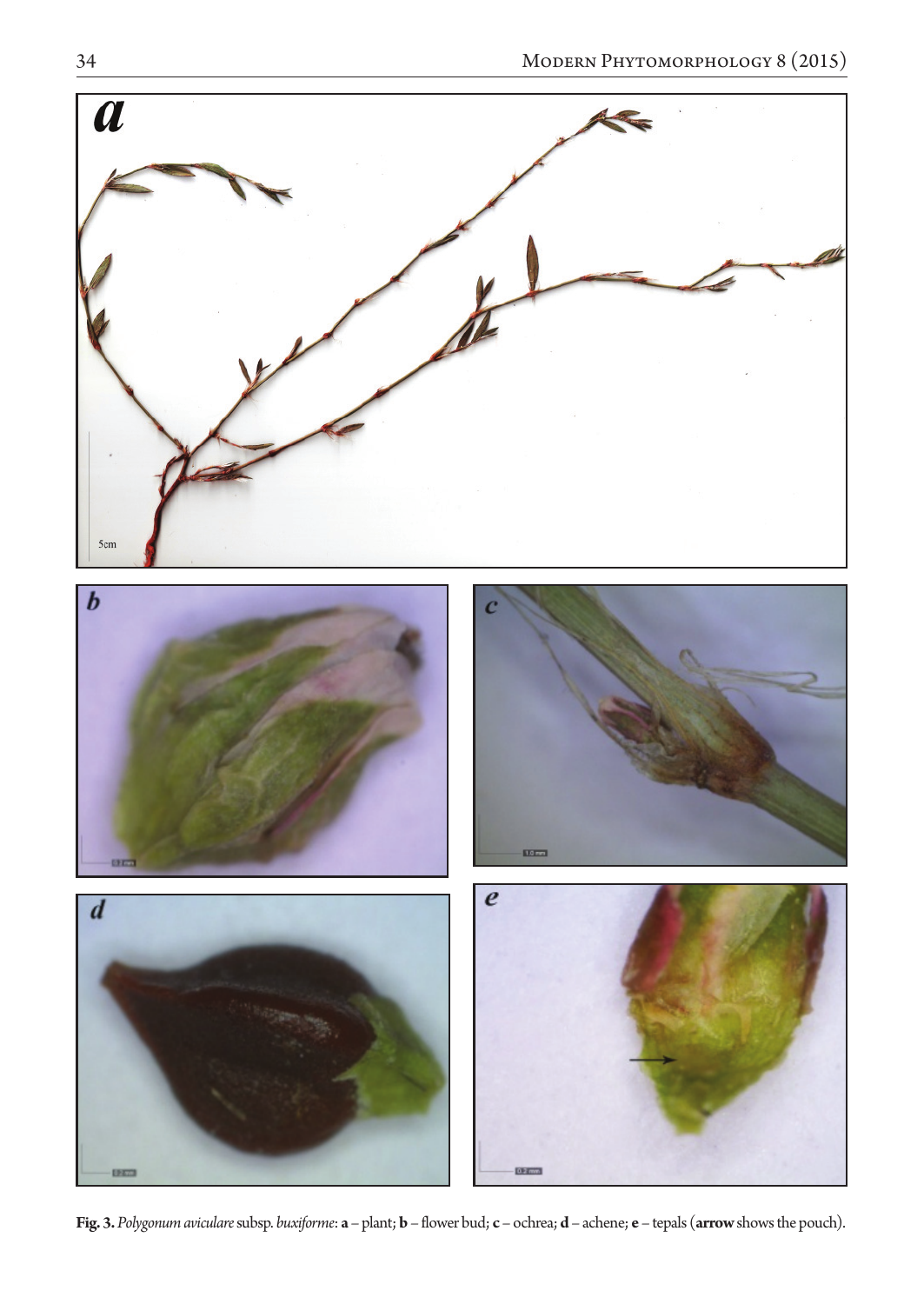

**Fig. 3.** *Polygonum aviculare* subsp. *buxiforme*: **a** – plant; **b** – flower bud; **c** – ochrea; **d** – achene; **e** – tepals (**arrow** shows the pouch).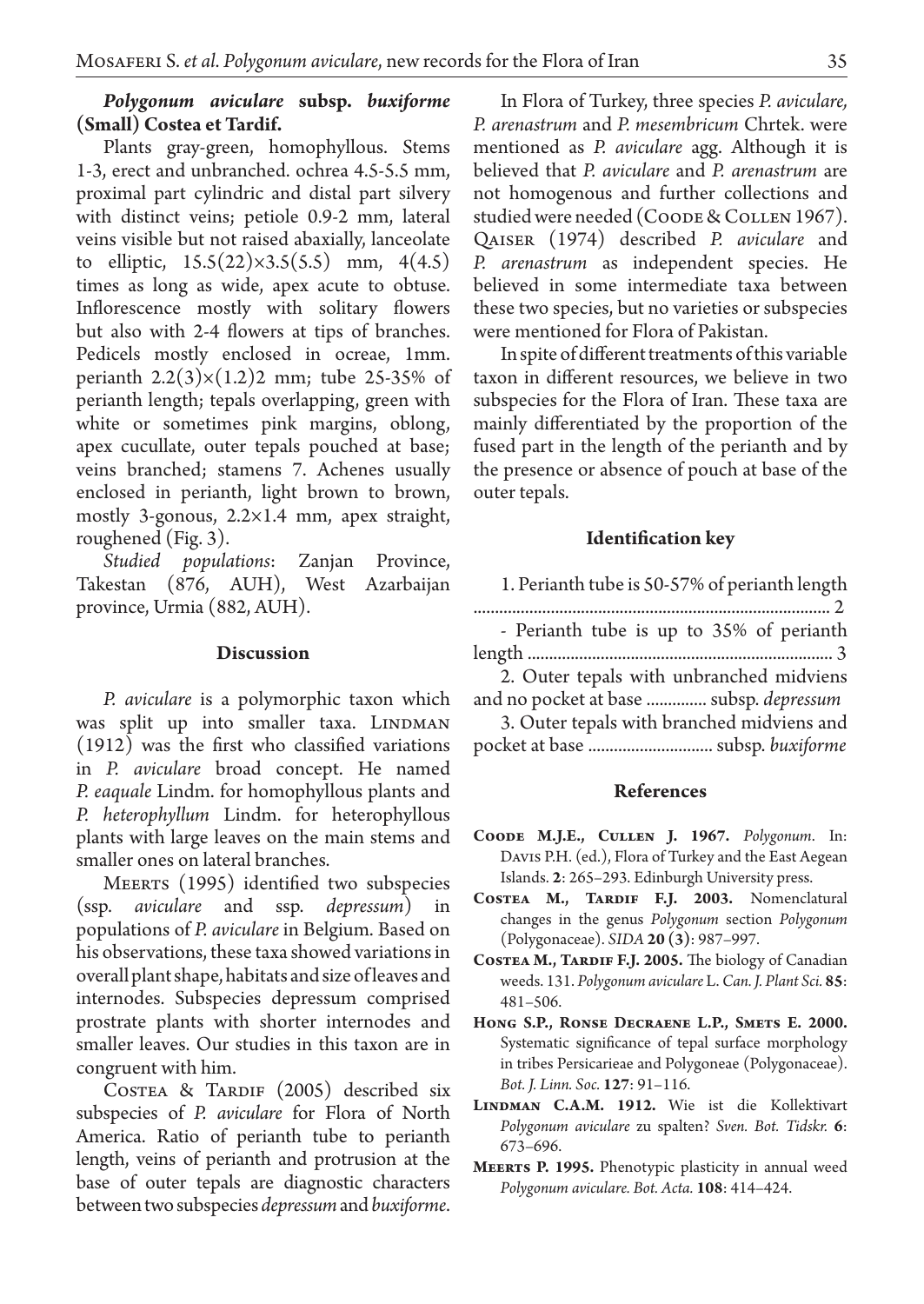## *Polygonum aviculare* **subsp.** *buxiforme* **(Small) Costea et Tardif.**

Plants gray-green, homophyllous. Stems 1-3, erect and unbranched. ochrea 4.5-5.5 mm, proximal part cylindric and distal part silvery with distinct veins; petiole 0.9-2 mm, lateral veins visible but not raised abaxially, lanceolate to elliptic,  $15.5(22)\times3.5(5.5)$  mm,  $4(4.5)$ times as long as wide, apex acute to obtuse. Inflorescence mostly with solitary flowers but also with 2-4 flowers at tips of branches. Pedicels mostly enclosed in ocreae, 1mm. perianth  $2.2(3)\times(1.2)2$  mm; tube 25-35% of perianth length; tepals overlapping, green with white or sometimes pink margins, oblong, apex cucullate, outer tepals pouched at base; veins branched; stamens 7. Achenes usually enclosed in perianth, light brown to brown, mostly 3-gonous, 2.2×1.4 mm, apex straight, roughened (Fig. 3).

*Studied populations*: Zanjan Province, Takestan (876, AUH), West Azarbaijan province, Urmia (882, AUH).

### **Discussion**

*P. aviculare* is a polymorphic taxon which was split up into smaller taxa. LINDMAN (1912) was the first who classified variations in *P. aviculare* broad concept. He named *P. eaquale* Lindm. for homophyllous plants and *P. heterophyllum*  Lindm. for heterophyllous plants with large leaves on the main stems and smaller ones on lateral branches.

MEERTS (1995) identified two subspecies (ssp. *aviculare* and ssp. *depressum*) in populations of *P. aviculare* in Belgium. Based on his observations, these taxa showed variations in overall plant shape, habitats and size of leaves and internodes. Subspecies depressum comprised prostrate plants with shorter internodes and smaller leaves. Our studies in this taxon are in congruent with him.

COSTEA & TARDIF (2005) described six subspecies of *P. aviculare* for Flora of North America. Ratio of perianth tube to perianth length, veins of perianth and protrusion at the base of outer tepals are diagnostic characters between two subspecies *depressum* and *buxiforme*.

In Flora of Turkey, three species *P. aviculare, P. arenastrum* and *P. mesembricum* Chrtek. were mentioned as *P. aviculare* agg. Although it is believed that *P. aviculare* and *P. arenastrum* are not homogenous and further collections and studied were needed (Coode & Collen 1967). Qaiser (1974) described *P. aviculare* and *P. arenastrum* as independent species. He believed in some intermediate taxa between these two species, but no varieties or subspecies were mentioned for Flora of Pakistan.

In spite of different treatments of this variable taxon in different resources, we believe in two subspecies for the Flora of Iran. These taxa are mainly differentiated by the proportion of the fused part in the length of the perianth and by the presence or absence of pouch at base of the outer tepals.

### **Identification key**

| 1. Perianth tube is 50-57% of perianth length |  |
|-----------------------------------------------|--|
|-----------------------------------------------|--|

|  | - Perianth tube is up to 35% of perianth |  |  |  |  |
|--|------------------------------------------|--|--|--|--|
|  |                                          |  |  |  |  |

- length ....................................................................... 3
- 2. Outer tepals with unbranched midviens
- and no pocket at base .............. subsp. *depressum* 3. Outer tepals with branched midviens and
- pocket at base ............................. subsp. *buxiforme*

### **References**

- **Coode M.J.E., Cullen J. 1967.** *Polygonum*. In: Davis P.H. (ed.), Flora of Turkey and the East Aegean Islands. **2**: 265–293. Edinburgh University press.
- **Costea M., Tardif F.J. 2003.** Nomenclatural changes in the genus *Polygonum* section *Polygonum* (Polygonaceae). *SIDA* **20 (3)**: 987–997.
- **Costea M., Tardif F.J. 2005.** The biology of Canadian weeds. 131. *Polygonum aviculare* L. *Can. J. Plant Sci.* **85**: 481–506.
- **Hong S.P., Ronse Decraene L.P., Smets E. 2000.**  Systematic significance of tepal surface morphology in tribes Persicarieae and Polygoneae (Polygonaceae). *Bot. J. Linn. Soc.* **127**: 91–116.
- **Lindman C.A.M. 1912.** Wie ist die Kollektivart *Polygonum aviculare* zu spalten? *Sven. Bot. Tidskr.* **6**: 673–696.
- **Meerts P. 1995.** Phenotypic plasticity in annual weed *Polygonum aviculare. Bot. Acta.* **108**: 414–424.